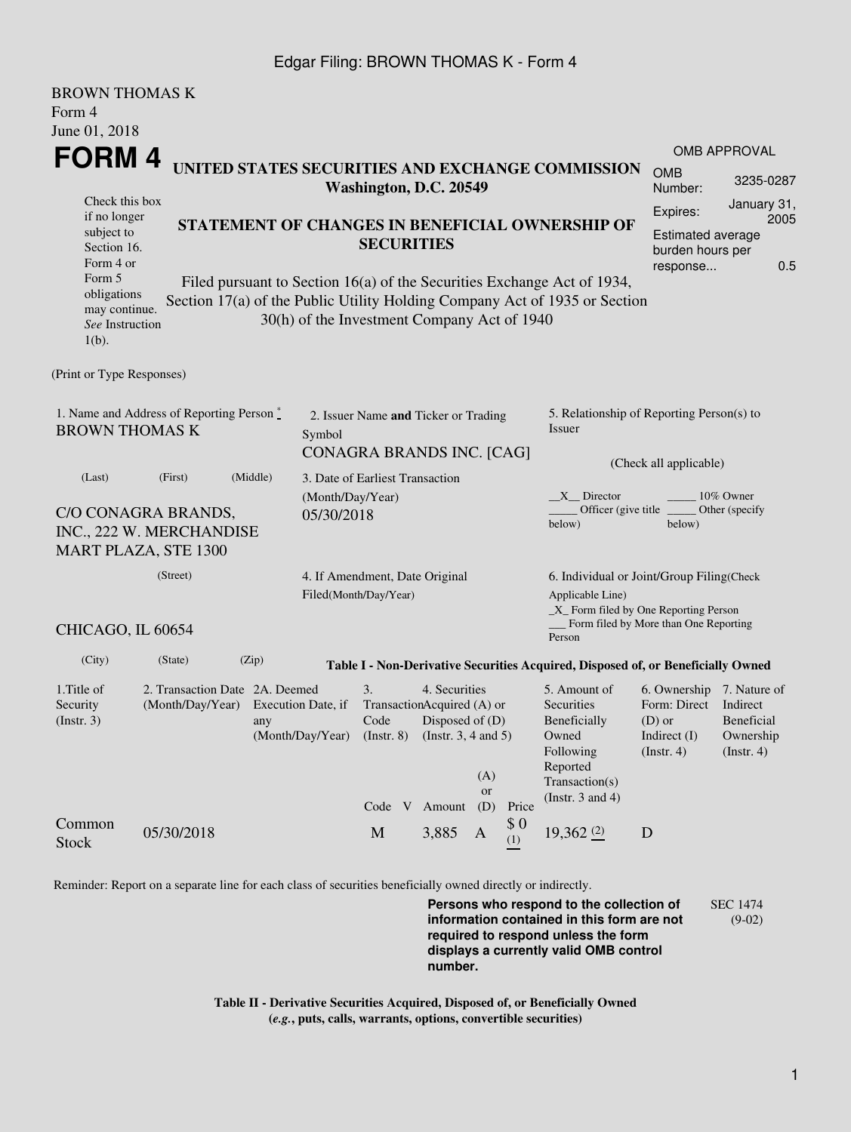## Edgar Filing: BROWN THOMAS K - Form 4

| <b>BROWN THOMAS K</b>                                                                                                                                                  |                                                                                   |  |  |  |
|------------------------------------------------------------------------------------------------------------------------------------------------------------------------|-----------------------------------------------------------------------------------|--|--|--|
| Form 4                                                                                                                                                                 |                                                                                   |  |  |  |
| June 01, 2018                                                                                                                                                          |                                                                                   |  |  |  |
| FORM 4                                                                                                                                                                 | OMB APPROVAL                                                                      |  |  |  |
| UNITED STATES SECURITIES AND EXCHANGE COMMISSION<br>Washington, D.C. 20549                                                                                             | <b>OMB</b><br>3235-0287<br>Number:                                                |  |  |  |
| Check this box                                                                                                                                                         | January 31,                                                                       |  |  |  |
| if no longer<br>STATEMENT OF CHANGES IN BENEFICIAL OWNERSHIP OF                                                                                                        | Expires:<br>2005                                                                  |  |  |  |
| subject to<br><b>SECURITIES</b><br>Section 16.                                                                                                                         | <b>Estimated average</b><br>burden hours per                                      |  |  |  |
| Form 4 or                                                                                                                                                              | 0.5<br>response                                                                   |  |  |  |
| Form 5<br>Filed pursuant to Section 16(a) of the Securities Exchange Act of 1934,                                                                                      |                                                                                   |  |  |  |
| obligations<br>Section 17(a) of the Public Utility Holding Company Act of 1935 or Section<br>may continue.                                                             |                                                                                   |  |  |  |
| 30(h) of the Investment Company Act of 1940<br>See Instruction                                                                                                         |                                                                                   |  |  |  |
| $1(b)$ .                                                                                                                                                               |                                                                                   |  |  |  |
| (Print or Type Responses)                                                                                                                                              |                                                                                   |  |  |  |
| 1. Name and Address of Reporting Person $\stackrel{*}{\mathbb{L}}$<br>2. Issuer Name and Ticker or Trading<br><b>BROWN THOMAS K</b><br>Issuer<br>Symbol                | 5. Relationship of Reporting Person(s) to                                         |  |  |  |
| CONAGRA BRANDS INC. [CAG]                                                                                                                                              |                                                                                   |  |  |  |
| (Middle)<br>(First)                                                                                                                                                    | (Check all applicable)                                                            |  |  |  |
| 3. Date of Earliest Transaction<br>(Last)<br>(Month/Day/Year)<br>$X$ Director                                                                                          | 10% Owner                                                                         |  |  |  |
| C/O CONAGRA BRANDS,<br>05/30/2018                                                                                                                                      | Officer (give title _<br>Other (specify                                           |  |  |  |
| below)<br>INC., 222 W. MERCHANDISE                                                                                                                                     | below)                                                                            |  |  |  |
| <b>MART PLAZA, STE 1300</b>                                                                                                                                            |                                                                                   |  |  |  |
| (Street)<br>4. If Amendment, Date Original                                                                                                                             | 6. Individual or Joint/Group Filing(Check                                         |  |  |  |
| Filed(Month/Day/Year)                                                                                                                                                  | Applicable Line)                                                                  |  |  |  |
| CHICAGO, IL 60654<br>Person                                                                                                                                            | $\_X$ Form filed by One Reporting Person<br>Form filed by More than One Reporting |  |  |  |
| (City)<br>(State)<br>(Zip)<br>Table I - Non-Derivative Securities Acquired, Disposed of, or Beneficially Owned                                                         |                                                                                   |  |  |  |
| 1. Title of<br>3.<br>4. Securities<br>2. Transaction Date 2A. Deemed<br>5. Amount of                                                                                   | 6. Ownership 7. Nature of                                                         |  |  |  |
| Securities<br>Security<br>(Month/Day/Year)<br>Execution Date, if<br>TransactionAcquired (A) or<br>$($ Instr. 3 $)$<br>Code<br>Disposed of $(D)$<br>Beneficially<br>any | Form: Direct<br>Indirect<br><b>Beneficial</b><br>(D) or                           |  |  |  |
| (Month/Day/Year)<br>Owned<br>$($ Instr. 8 $)$<br>(Instr. $3, 4$ and $5$ )                                                                                              | Indirect $(I)$<br>Ownership                                                       |  |  |  |
| Following                                                                                                                                                              | $($ Instr. 4 $)$<br>(Insert. 4)                                                   |  |  |  |
| Reported<br>(A)<br>Transaction(s)                                                                                                                                      |                                                                                   |  |  |  |
| or<br>(Instr. $3$ and $4$ )<br>Code V Amount<br>(D)<br>Price                                                                                                           |                                                                                   |  |  |  |
| \$0<br>Common<br>19,362 (2)<br>05/30/2018<br>M<br>3,885<br>$\mathbf{A}$                                                                                                |                                                                                   |  |  |  |

Reminder: Report on a separate line for each class of securities beneficially owned directly or indirectly.

**Persons who respond to the collection of information contained in this form are not required to respond unless the form displays a currently valid OMB control number.** SEC 1474 (9-02)

**Table II - Derivative Securities Acquired, Disposed of, or Beneficially Owned (***e.g.***, puts, calls, warrants, options, convertible securities)**